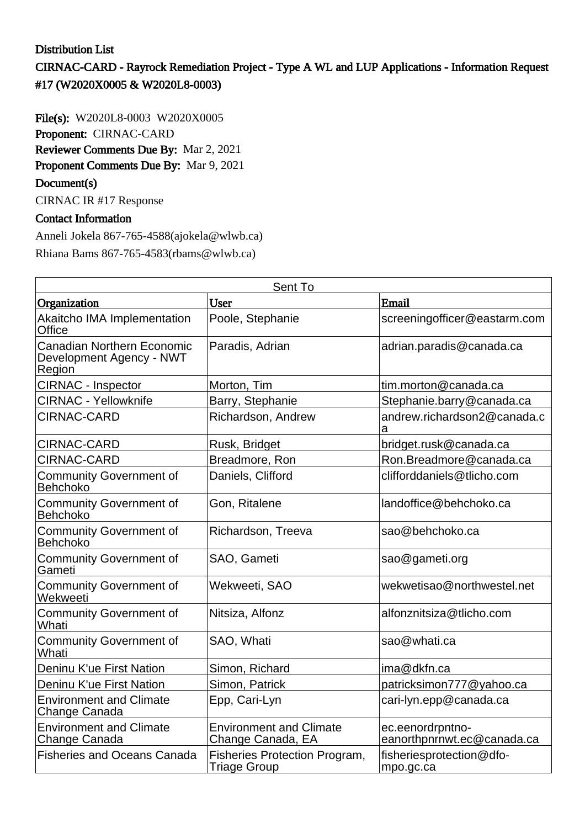## Distribution List

CIRNAC-CARD - Rayrock Remediation Project - Type A WL and LUP Applications - Information Request #17 (W2020X0005 & W2020L8-0003)

File(s): W2020L8-0003 W2020X0005 Proponent: CIRNAC-CARD Reviewer Comments Due By: Mar 2, 2021

Proponent Comments Due By: Mar 9, 2021

### Document(s)

CIRNAC IR #17 Response

### Contact Information

Anneli Jokela 867-765-4588(ajokela@wlwb.ca) Rhiana Bams 867-765-4583(rbams@wlwb.ca)

| Sent To                                                                 |                                                             |                                                |  |
|-------------------------------------------------------------------------|-------------------------------------------------------------|------------------------------------------------|--|
| Organization                                                            | <b>User</b>                                                 | Email                                          |  |
| Akaitcho IMA Implementation<br>Office                                   | Poole, Stephanie                                            | screeningofficer@eastarm.com                   |  |
| <b>Canadian Northern Economic</b><br>Development Agency - NWT<br>Region | Paradis, Adrian                                             | adrian.paradis@canada.ca                       |  |
| <b>CIRNAC - Inspector</b>                                               | Morton, Tim                                                 | tim.morton@canada.ca                           |  |
| <b>CIRNAC - Yellowknife</b>                                             | Barry, Stephanie                                            | Stephanie.barry@canada.ca                      |  |
| CIRNAC-CARD                                                             | Richardson, Andrew                                          | andrew.richardson2@canada.c<br>a               |  |
| <b>CIRNAC-CARD</b>                                                      | Rusk, Bridget                                               | bridget.rusk@canada.ca                         |  |
| <b>CIRNAC-CARD</b>                                                      | Breadmore, Ron                                              | Ron.Breadmore@canada.ca                        |  |
| <b>Community Government of</b><br><b>Behchoko</b>                       | Daniels, Clifford                                           | clifforddaniels@tlicho.com                     |  |
| <b>Community Government of</b><br><b>Behchoko</b>                       | Gon, Ritalene                                               | landoffice@behchoko.ca                         |  |
| <b>Community Government of</b><br><b>Behchoko</b>                       | Richardson, Treeva                                          | sao@behchoko.ca                                |  |
| <b>Community Government of</b><br>Gameti                                | SAO, Gameti                                                 | sao@gameti.org                                 |  |
| <b>Community Government of</b><br>Wekweeti                              | Wekweeti, SAO                                               | wekwetisao@northwestel.net                     |  |
| <b>Community Government of</b><br>Whati                                 | Nitsiza, Alfonz                                             | alfonznitsiza@tlicho.com                       |  |
| <b>Community Government of</b><br>Whati                                 | SAO, Whati                                                  | sao@whati.ca                                   |  |
| Deninu K'ue First Nation                                                | Simon, Richard                                              | ima@dkfn.ca                                    |  |
| Deninu K'ue First Nation                                                | Simon, Patrick                                              | patricksimon777@yahoo.ca                       |  |
| <b>Environment and Climate</b><br><b>Change Canada</b>                  | Epp, Cari-Lyn                                               | cari-lyn.epp@canada.ca                         |  |
| <b>Environment and Climate</b><br>Change Canada                         | <b>Environment and Climate</b><br>Change Canada, EA         | ec.eenordrpntno-<br>eanorthpnrnwt.ec@canada.ca |  |
| <b>Fisheries and Oceans Canada</b>                                      | <b>Fisheries Protection Program,</b><br><b>Triage Group</b> | fisheriesprotection@dfo-<br>mpo.gc.ca          |  |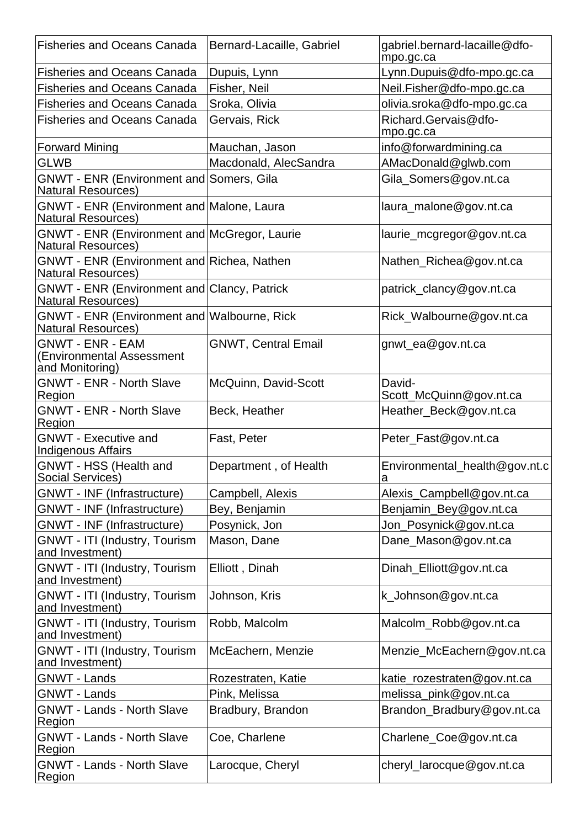| <b>Fisheries and Oceans Canada</b>                                        | Bernard-Lacaille, Gabriel  | gabriel.bernard-lacaille@dfo-<br>mpo.gc.ca |
|---------------------------------------------------------------------------|----------------------------|--------------------------------------------|
| <b>Fisheries and Oceans Canada</b>                                        | Dupuis, Lynn               | Lynn.Dupuis@dfo-mpo.gc.ca                  |
| <b>Fisheries and Oceans Canada</b>                                        | Fisher, Neil               | Neil.Fisher@dfo-mpo.gc.ca                  |
| <b>Fisheries and Oceans Canada</b>                                        | Sroka, Olivia              | olivia.sroka@dfo-mpo.gc.ca                 |
| <b>Fisheries and Oceans Canada</b>                                        | Gervais, Rick              | Richard.Gervais@dfo-<br>mpo.gc.ca          |
| <b>Forward Mining</b>                                                     | Mauchan, Jason             | info@forwardmining.ca                      |
| <b>GLWB</b>                                                               | Macdonald, AlecSandra      | AMacDonald@glwb.com                        |
| GNWT - ENR (Environment and Somers, Gila<br><b>Natural Resources)</b>     |                            | Gila_Somers@gov.nt.ca                      |
| GNWT - ENR (Environment and Malone, Laura<br><b>Natural Resources)</b>    |                            | laura_malone@gov.nt.ca                     |
| GNWT - ENR (Environment and McGregor, Laurie<br><b>Natural Resources)</b> |                            | laurie_mcgregor@gov.nt.ca                  |
| GNWT - ENR (Environment and Richea, Nathen<br><b>Natural Resources)</b>   |                            | Nathen_Richea@gov.nt.ca                    |
| GNWT - ENR (Environment and Clancy, Patrick<br><b>Natural Resources)</b>  |                            | patrick_clancy@gov.nt.ca                   |
| GNWT - ENR (Environment and Walbourne, Rick<br><b>Natural Resources)</b>  |                            | Rick_Walbourne@gov.nt.ca                   |
| <b>GNWT - ENR - EAM</b><br>(Environmental Assessment<br>and Monitoring)   | <b>GNWT, Central Email</b> | gnwt_ea@gov.nt.ca                          |
| <b>GNWT - ENR - North Slave</b><br>Region                                 | McQuinn, David-Scott       | David-<br>Scott_McQuinn@gov.nt.ca          |
| <b>GNWT - ENR - North Slave</b><br>Region                                 | Beck, Heather              | Heather_Beck@gov.nt.ca                     |
| <b>GNWT - Executive and</b><br><b>Indigenous Affairs</b>                  | Fast, Peter                | Peter_Fast@gov.nt.ca                       |
| GNWT - HSS (Health and<br>Social Services)                                | Department, of Health      | Environmental_health@gov.nt.c<br>a         |
| <b>GNWT - INF (Infrastructure)</b>                                        | Campbell, Alexis           | Alexis_Campbell@gov.nt.ca                  |
| <b>GNWT - INF (Infrastructure)</b>                                        | Bey, Benjamin              | Benjamin_Bey@gov.nt.ca                     |
| <b>GNWT - INF (Infrastructure)</b>                                        | Posynick, Jon              | Jon_Posynick@gov.nt.ca                     |
| <b>GNWT - ITI (Industry, Tourism</b><br>and Investment)                   | Mason, Dane                | Dane_Mason@gov.nt.ca                       |
| <b>GNWT - ITI (Industry, Tourism</b><br>and Investment)                   | Elliott, Dinah             | Dinah_Elliott@gov.nt.ca                    |
| GNWT - ITI (Industry, Tourism<br>and Investment)                          | Johnson, Kris              | k_Johnson@gov.nt.ca                        |
| GNWT - ITI (Industry, Tourism<br>and Investment)                          | Robb, Malcolm              | Malcolm_Robb@gov.nt.ca                     |
| <b>GNWT - ITI (Industry, Tourism</b><br>and Investment)                   | McEachern, Menzie          | Menzie_McEachern@gov.nt.ca                 |
| <b>GNWT - Lands</b>                                                       | Rozestraten, Katie         | katie_rozestraten@gov.nt.ca                |
| <b>GNWT - Lands</b>                                                       | Pink, Melissa              | melissa_pink@gov.nt.ca                     |
| <b>GNWT - Lands - North Slave</b><br>Region                               | Bradbury, Brandon          | Brandon_Bradbury@gov.nt.ca                 |
| <b>GNWT - Lands - North Slave</b><br>Region                               | Coe, Charlene              | Charlene_Coe@gov.nt.ca                     |
| <b>GNWT - Lands - North Slave</b><br>Region                               | Larocque, Cheryl           | cheryl_larocque@gov.nt.ca                  |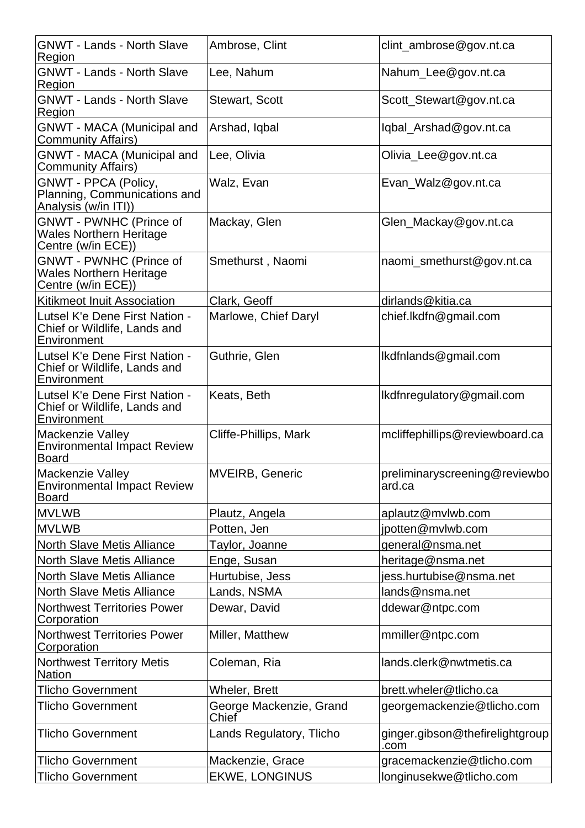| <b>GNWT - Lands - North Slave</b><br>Region                                            | Ambrose, Clint                   | clint_ambrose@gov.nt.ca                 |
|----------------------------------------------------------------------------------------|----------------------------------|-----------------------------------------|
| <b>GNWT - Lands - North Slave</b><br>Region                                            | Lee, Nahum                       | Nahum_Lee@gov.nt.ca                     |
| <b>GNWT - Lands - North Slave</b><br>Region                                            | <b>Stewart, Scott</b>            | Scott_Stewart@gov.nt.ca                 |
| <b>GNWT - MACA (Municipal and</b><br><b>Community Affairs)</b>                         | Arshad, Iqbal                    | lqbal_Arshad@gov.nt.ca                  |
| <b>GNWT - MACA (Municipal and</b><br><b>Community Affairs)</b>                         | Lee, Olivia                      | Olivia_Lee@gov.nt.ca                    |
| <b>GNWT - PPCA (Policy,</b><br>Planning, Communications and<br>Analysis (w/in ITI))    | Walz, Evan                       | Evan_Walz@gov.nt.ca                     |
| <b>GNWT - PWNHC (Prince of</b><br><b>Wales Northern Heritage</b><br>Centre (w/in ECE)) | Mackay, Glen                     | Glen_Mackay@gov.nt.ca                   |
| <b>GNWT - PWNHC (Prince of</b><br><b>Wales Northern Heritage</b><br>Centre (w/in ECE)) | Smethurst, Naomi                 | naomi_smethurst@gov.nt.ca               |
| <b>Kitikmeot Inuit Association</b>                                                     | Clark, Geoff                     | dirlands@kitia.ca                       |
| Lutsel K'e Dene First Nation -<br>Chief or Wildlife, Lands and<br>Environment          | Marlowe, Chief Daryl             | chief.lkdfn@gmail.com                   |
| Lutsel K'e Dene First Nation -<br>Chief or Wildlife, Lands and<br>Environment          | Guthrie, Glen                    | lkdfnlands@gmail.com                    |
| Lutsel K'e Dene First Nation -<br>Chief or Wildlife, Lands and<br>Environment          | Keats, Beth                      | Ikdfnregulatory@gmail.com               |
| <b>Mackenzie Valley</b><br><b>Environmental Impact Review</b><br><b>Board</b>          | Cliffe-Phillips, Mark            | mcliffephillips@reviewboard.ca          |
| Mackenzie Valley<br><b>Environmental Impact Review</b><br><b>Board</b>                 | <b>MVEIRB, Generic</b>           | preliminaryscreening@reviewbo<br>ard.ca |
| <b>MVLWB</b>                                                                           | Plautz, Angela                   | aplautz@mvlwb.com                       |
| <b>MVLWB</b>                                                                           | Potten, Jen                      | jpotten@mvlwb.com                       |
| <b>North Slave Metis Alliance</b>                                                      | Taylor, Joanne                   | general@nsma.net                        |
| <b>North Slave Metis Alliance</b>                                                      | Enge, Susan                      | heritage@nsma.net                       |
| <b>North Slave Metis Alliance</b>                                                      | Hurtubise, Jess                  | iess.hurtubise@nsma.net                 |
| <b>North Slave Metis Alliance</b>                                                      | Lands, NSMA                      | lands@nsma.net                          |
| <b>Northwest Territories Power</b><br>Corporation                                      | Dewar, David                     | ddewar@ntpc.com                         |
| <b>Northwest Territories Power</b><br>Corporation                                      | Miller, Matthew                  | mmiller@ntpc.com                        |
| <b>Northwest Territory Metis</b><br><b>Nation</b>                                      | Coleman, Ria                     | lands.clerk@nwtmetis.ca                 |
| <b>Tlicho Government</b>                                                               | <b>Wheler, Brett</b>             | brett.wheler@tlicho.ca                  |
| <b>Tlicho Government</b>                                                               | George Mackenzie, Grand<br>Chief | georgemackenzie@tlicho.com              |
| <b>Tlicho Government</b>                                                               | Lands Regulatory, Tlicho         | ginger.gibson@thefirelightgroup<br>.com |
| <b>Tlicho Government</b>                                                               | Mackenzie, Grace                 | gracemackenzie@tlicho.com               |
| Tlicho Government                                                                      | <b>EKWE, LONGINUS</b>            | longinusekwe@tlicho.com                 |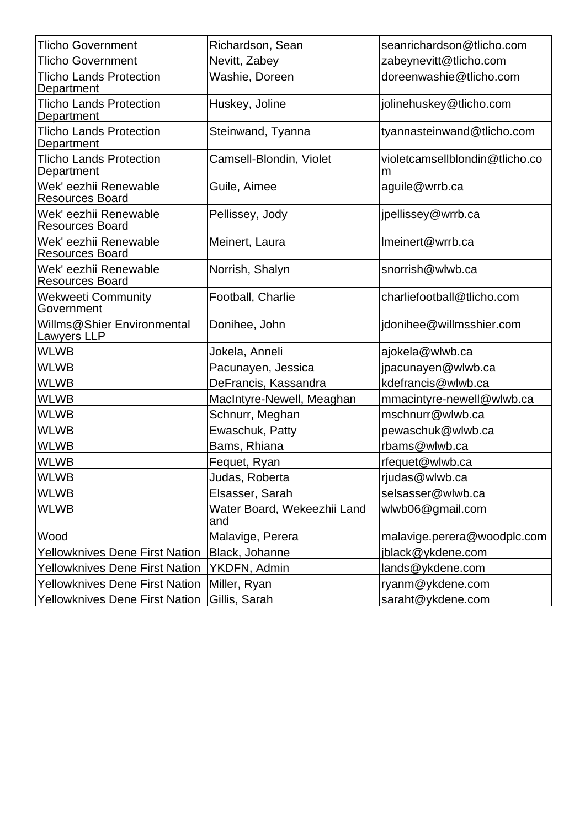| <b>Tlicho Government</b>                        | Richardson, Sean                   | seanrichardson@tlicho.com           |  |
|-------------------------------------------------|------------------------------------|-------------------------------------|--|
| <b>Tlicho Government</b>                        | Nevitt, Zabey                      | zabeynevitt@tlicho.com              |  |
| <b>Tlicho Lands Protection</b><br>Department    | Washie, Doreen                     | doreenwashie@tlicho.com             |  |
| <b>Tlicho Lands Protection</b><br>Department    | Huskey, Joline                     | jolinehuskey@tlicho.com             |  |
| <b>Tlicho Lands Protection</b><br>Department    | Steinwand, Tyanna                  | tyannasteinwand@tlicho.com          |  |
| <b>Tlicho Lands Protection</b><br>Department    | Camsell-Blondin, Violet            | violetcamsellblondin@tlicho.co<br>m |  |
| Wek' eezhii Renewable<br><b>Resources Board</b> | Guile, Aimee                       | aguile@wrrb.ca                      |  |
| Wek' eezhii Renewable<br><b>Resources Board</b> | Pellissey, Jody                    | jpellissey@wrrb.ca                  |  |
| Wek' eezhii Renewable<br><b>Resources Board</b> | Meinert, Laura                     | Imeinert@wrrb.ca                    |  |
| Wek' eezhii Renewable<br><b>Resources Board</b> | Norrish, Shalyn                    | snorrish@wlwb.ca                    |  |
| <b>Wekweeti Community</b><br>Government         | Football, Charlie                  | charliefootball@tlicho.com          |  |
| Willms@Shier Environmental<br>Lawyers LLP       | Donihee, John                      | jdonihee@willmsshier.com            |  |
| <b>WLWB</b>                                     | Jokela, Anneli                     | ajokela@wlwb.ca                     |  |
| <b>WLWB</b>                                     | Pacunayen, Jessica                 | jpacunayen@wlwb.ca                  |  |
| <b>WLWB</b>                                     | DeFrancis, Kassandra               | kdefrancis@wlwb.ca                  |  |
| <b>WLWB</b>                                     | MacIntyre-Newell, Meaghan          | mmacintyre-newell@wlwb.ca           |  |
| <b>WLWB</b>                                     | Schnurr, Meghan                    | mschnurr@wlwb.ca                    |  |
| <b>WLWB</b>                                     | Ewaschuk, Patty                    | pewaschuk@wlwb.ca                   |  |
| <b>WLWB</b>                                     | Bams, Rhiana                       | rbams@wlwb.ca                       |  |
| <b>WLWB</b>                                     | Fequet, Ryan                       | rfequet@wlwb.ca                     |  |
| <b>WLWB</b>                                     | Judas, Roberta                     | rjudas@wlwb.ca                      |  |
| <b>WLWB</b>                                     | Elsasser, Sarah                    | selsasser@wlwb.ca                   |  |
| <b>WLWB</b>                                     | Water Board, Wekeezhii Land<br>and | wlwb06@gmail.com                    |  |
| Wood                                            | Malavige, Perera                   | malavige.perera@woodplc.com         |  |
| <b>Yellowknives Dene First Nation</b>           | Black, Johanne                     | jblack@ykdene.com                   |  |
| <b>Yellowknives Dene First Nation</b>           | YKDFN, Admin                       | lands@ykdene.com                    |  |
| <b>Yellowknives Dene First Nation</b>           | Miller, Ryan<br>ryanm@ykdene.com   |                                     |  |
| <b>Yellowknives Dene First Nation</b>           | Gillis, Sarah                      | saraht@ykdene.com                   |  |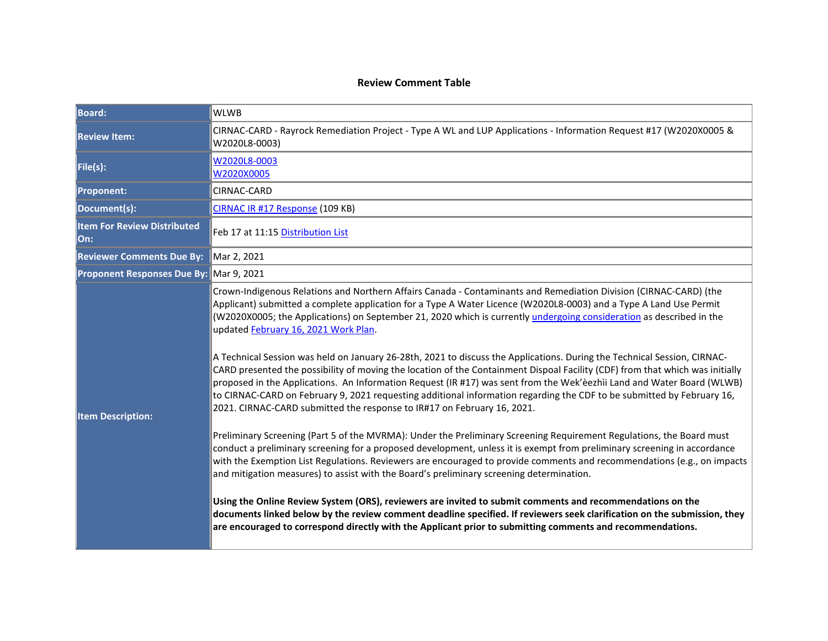#### **Review Comment Table**

| <b>Board:</b>                             | <b>WLWB</b>                                                                                                                                                                                                                                                                                                                                                                                                                                                                                                                                                                                                                                                                                                                                                                                                                                                                                                                                                                                                                                                                                                                                                                                                                                                                                                                                                                                                                                                                                                                                                                                                                                                                                                                                                                                                                           |  |
|-------------------------------------------|---------------------------------------------------------------------------------------------------------------------------------------------------------------------------------------------------------------------------------------------------------------------------------------------------------------------------------------------------------------------------------------------------------------------------------------------------------------------------------------------------------------------------------------------------------------------------------------------------------------------------------------------------------------------------------------------------------------------------------------------------------------------------------------------------------------------------------------------------------------------------------------------------------------------------------------------------------------------------------------------------------------------------------------------------------------------------------------------------------------------------------------------------------------------------------------------------------------------------------------------------------------------------------------------------------------------------------------------------------------------------------------------------------------------------------------------------------------------------------------------------------------------------------------------------------------------------------------------------------------------------------------------------------------------------------------------------------------------------------------------------------------------------------------------------------------------------------------|--|
| <b>Review Item:</b>                       | CIRNAC-CARD - Rayrock Remediation Project - Type A WL and LUP Applications - Information Request #17 (W2020X0005 &<br>W2020L8-0003)                                                                                                                                                                                                                                                                                                                                                                                                                                                                                                                                                                                                                                                                                                                                                                                                                                                                                                                                                                                                                                                                                                                                                                                                                                                                                                                                                                                                                                                                                                                                                                                                                                                                                                   |  |
| File(s):                                  | W2020L8-0003<br>W2020X0005                                                                                                                                                                                                                                                                                                                                                                                                                                                                                                                                                                                                                                                                                                                                                                                                                                                                                                                                                                                                                                                                                                                                                                                                                                                                                                                                                                                                                                                                                                                                                                                                                                                                                                                                                                                                            |  |
| <b>Proponent:</b>                         | CIRNAC-CARD                                                                                                                                                                                                                                                                                                                                                                                                                                                                                                                                                                                                                                                                                                                                                                                                                                                                                                                                                                                                                                                                                                                                                                                                                                                                                                                                                                                                                                                                                                                                                                                                                                                                                                                                                                                                                           |  |
| Document(s):                              | CIRNAC IR #17 Response (109 KB)                                                                                                                                                                                                                                                                                                                                                                                                                                                                                                                                                                                                                                                                                                                                                                                                                                                                                                                                                                                                                                                                                                                                                                                                                                                                                                                                                                                                                                                                                                                                                                                                                                                                                                                                                                                                       |  |
| <b>Item For Review Distributed</b><br>On: | Feb 17 at 11:15 Distribution List                                                                                                                                                                                                                                                                                                                                                                                                                                                                                                                                                                                                                                                                                                                                                                                                                                                                                                                                                                                                                                                                                                                                                                                                                                                                                                                                                                                                                                                                                                                                                                                                                                                                                                                                                                                                     |  |
| <b>Reviewer Comments Due By:</b>          | Mar 2, 2021                                                                                                                                                                                                                                                                                                                                                                                                                                                                                                                                                                                                                                                                                                                                                                                                                                                                                                                                                                                                                                                                                                                                                                                                                                                                                                                                                                                                                                                                                                                                                                                                                                                                                                                                                                                                                           |  |
| Proponent Responses Due By: Mar 9, 2021   |                                                                                                                                                                                                                                                                                                                                                                                                                                                                                                                                                                                                                                                                                                                                                                                                                                                                                                                                                                                                                                                                                                                                                                                                                                                                                                                                                                                                                                                                                                                                                                                                                                                                                                                                                                                                                                       |  |
| <b>Item Description:</b>                  | Crown-Indigenous Relations and Northern Affairs Canada - Contaminants and Remediation Division (CIRNAC-CARD) (the<br>Applicant) submitted a complete application for a Type A Water Licence (W2020L8-0003) and a Type A Land Use Permit<br>(W2020X0005; the Applications) on September 21, 2020 which is currently undergoing consideration as described in the<br>updated February 16, 2021 Work Plan.<br>A Technical Session was held on January 26-28th, 2021 to discuss the Applications. During the Technical Session, CIRNAC-<br>CARD presented the possibility of moving the location of the Containment Dispoal Facility (CDF) from that which was initially<br>proposed in the Applications. An Information Request (IR #17) was sent from the Wek'èezhìi Land and Water Board (WLWB)<br>to CIRNAC-CARD on February 9, 2021 requesting additional information regarding the CDF to be submitted by February 16,<br>2021. CIRNAC-CARD submitted the response to IR#17 on February 16, 2021.<br>Preliminary Screening (Part 5 of the MVRMA): Under the Preliminary Screening Requirement Regulations, the Board must<br>conduct a preliminary screening for a proposed development, unless it is exempt from preliminary screening in accordance<br>with the Exemption List Regulations. Reviewers are encouraged to provide comments and recommendations (e.g., on impacts<br>and mitigation measures) to assist with the Board's preliminary screening determination.<br>Using the Online Review System (ORS), reviewers are invited to submit comments and recommendations on the<br>documents linked below by the review comment deadline specified. If reviewers seek clarification on the submission, they<br>are encouraged to correspond directly with the Applicant prior to submitting comments and recommendations. |  |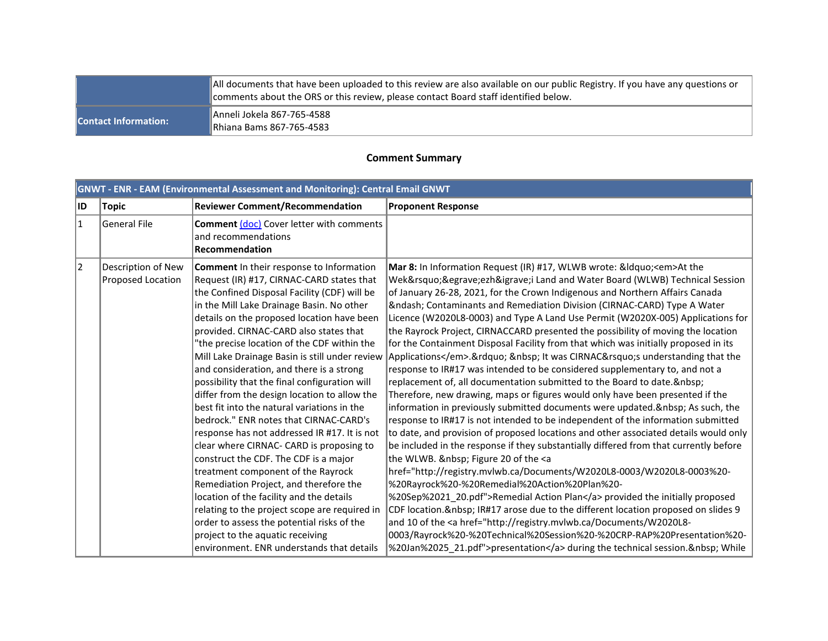|                             | All documents that have been uploaded to this review are also available on our public Registry. If you have any questions or<br>Comments about the ORS or this review, please contact Board staff identified below. |  |
|-----------------------------|---------------------------------------------------------------------------------------------------------------------------------------------------------------------------------------------------------------------|--|
| <b>Contact Information:</b> | Anneli Jokela 867-765-4588<br>Rhiana Bams 867-765-4583                                                                                                                                                              |  |

#### **Comment Summary**

|           | <b>GNWT - ENR - EAM (Environmental Assessment and Monitoring): Central Email GNWT</b> |                                                                                                                                                                                                                                                                                                                                                                                                                                                                                                                                                                                                                                                                                                                                                                                                                                                                                                                                                                                                                                                                           |                                                                                                                                                                                                                                                                                                                                                                                                                                                                                                                                                                                                                                                                                                                                                                                                                                                                                                                                                                                                                                                                                                                                                                                                                                                                                                                                                                                                                                                                                                                                                                                                                                                                                                                                                                                                               |  |
|-----------|---------------------------------------------------------------------------------------|---------------------------------------------------------------------------------------------------------------------------------------------------------------------------------------------------------------------------------------------------------------------------------------------------------------------------------------------------------------------------------------------------------------------------------------------------------------------------------------------------------------------------------------------------------------------------------------------------------------------------------------------------------------------------------------------------------------------------------------------------------------------------------------------------------------------------------------------------------------------------------------------------------------------------------------------------------------------------------------------------------------------------------------------------------------------------|---------------------------------------------------------------------------------------------------------------------------------------------------------------------------------------------------------------------------------------------------------------------------------------------------------------------------------------------------------------------------------------------------------------------------------------------------------------------------------------------------------------------------------------------------------------------------------------------------------------------------------------------------------------------------------------------------------------------------------------------------------------------------------------------------------------------------------------------------------------------------------------------------------------------------------------------------------------------------------------------------------------------------------------------------------------------------------------------------------------------------------------------------------------------------------------------------------------------------------------------------------------------------------------------------------------------------------------------------------------------------------------------------------------------------------------------------------------------------------------------------------------------------------------------------------------------------------------------------------------------------------------------------------------------------------------------------------------------------------------------------------------------------------------------------------------|--|
| ID        | Topic                                                                                 | <b>Reviewer Comment/Recommendation</b>                                                                                                                                                                                                                                                                                                                                                                                                                                                                                                                                                                                                                                                                                                                                                                                                                                                                                                                                                                                                                                    | <b>Proponent Response</b>                                                                                                                                                                                                                                                                                                                                                                                                                                                                                                                                                                                                                                                                                                                                                                                                                                                                                                                                                                                                                                                                                                                                                                                                                                                                                                                                                                                                                                                                                                                                                                                                                                                                                                                                                                                     |  |
| $\vert$ 1 | General File                                                                          | <b>Comment (doc)</b> Cover letter with comments<br>and recommendations<br>Recommendation                                                                                                                                                                                                                                                                                                                                                                                                                                                                                                                                                                                                                                                                                                                                                                                                                                                                                                                                                                                  |                                                                                                                                                                                                                                                                                                                                                                                                                                                                                                                                                                                                                                                                                                                                                                                                                                                                                                                                                                                                                                                                                                                                                                                                                                                                                                                                                                                                                                                                                                                                                                                                                                                                                                                                                                                                               |  |
| 2         | Description of New<br>Proposed Location                                               | <b>Comment</b> In their response to Information<br>Request (IR) #17, CIRNAC-CARD states that<br>the Confined Disposal Facility (CDF) will be<br>in the Mill Lake Drainage Basin. No other<br>details on the proposed location have been<br>provided. CIRNAC-CARD also states that<br>"the precise location of the CDF within the<br>Mill Lake Drainage Basin is still under review<br>and consideration, and there is a strong<br>possibility that the final configuration will<br>differ from the design location to allow the<br>best fit into the natural variations in the<br>bedrock." ENR notes that CIRNAC-CARD's<br>response has not addressed IR #17. It is not<br>clear where CIRNAC- CARD is proposing to<br>construct the CDF. The CDF is a major<br>treatment component of the Rayrock<br>Remediation Project, and therefore the<br>location of the facility and the details<br>relating to the project scope are required in<br>order to assess the potential risks of the<br>project to the aquatic receiving<br>environment. ENR understands that details | Mar 8: In Information Request (IR) #17, WLWB wrote: &Idquo <em>At the<br/>Wek'èezhìi Land and Water Board (WLWB) Technical Session<br/>of January 26-28, 2021, for the Crown Indigenous and Northern Affairs Canada<br/>– Contaminants and Remediation Division (CIRNAC-CARD) Type A Water<br/>Licence (W2020L8-0003) and Type A Land Use Permit (W2020X-005) Applications for<br/>the Rayrock Project, CIRNACCARD presented the possibility of moving the location<br/>for the Containment Disposal Facility from that which was initially proposed in its<br/>Applications</em> .”   It was CIRNAC’s understanding that the<br>response to IR#17 was intended to be considered supplementary to, and not a<br>replacement of, all documentation submitted to the Board to date.<br>Therefore, new drawing, maps or figures would only have been presented if the<br>information in previously submitted documents were updated.  As such, the<br>response to IR#17 is not intended to be independent of the information submitted<br>to date, and provision of proposed locations and other associated details would only<br>be included in the response if they substantially differed from that currently before<br>the WLWB. & nbsp; Figure 20 of the <a<br>href="http://registry.mvlwb.ca/Documents/W2020L8-0003/W2020L8-0003%20-<br/>%20Rayrock%20-%20Remedial%20Action%20Plan%20-<br/>%20Sep%2021_20.pdf"&gt;Remedial Action Plan provided the initially proposed<br/>CDF location.  IR#17 arose due to the different location proposed on slides 9<br/>and 10 of the <a href="http://registry.mvlwb.ca/Documents/W2020L8-&lt;br&gt;0003/Rayrock%20-%20Technical%20Session%20-%20CRP-RAP%20Presentation%20-&lt;br&gt;%20Jan%2025 21.pdf">presentation</a> during the technical session.  While</a<br> |  |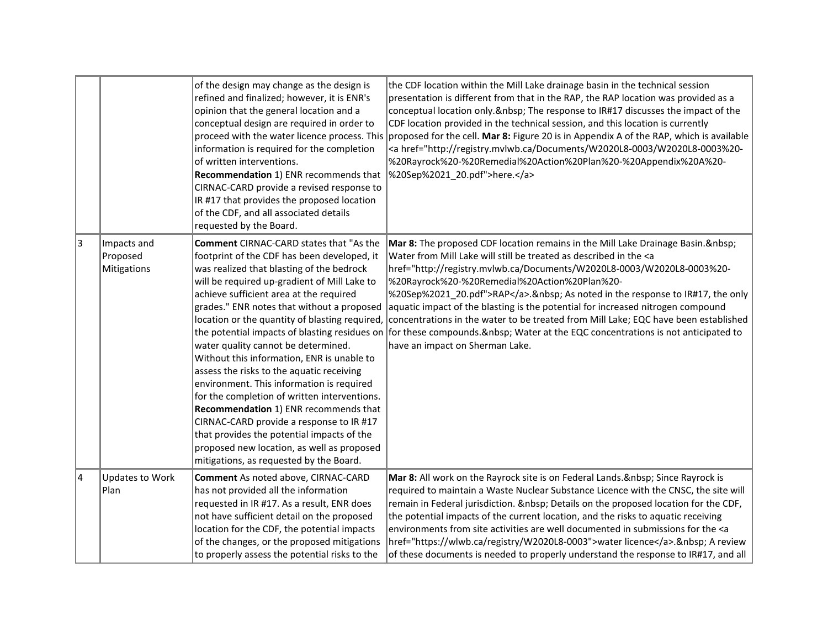|                |                                        | of the design may change as the design is<br>refined and finalized; however, it is ENR's<br>opinion that the general location and a<br>conceptual design are required in order to<br>proceed with the water licence process. This<br>information is required for the completion<br>of written interventions.<br>Recommendation 1) ENR recommends that<br>CIRNAC-CARD provide a revised response to<br>IR #17 that provides the proposed location<br>of the CDF, and all associated details<br>requested by the Board.                                                                                                                                                                                                                                                                                                                             | the CDF location within the Mill Lake drainage basin in the technical session<br>presentation is different from that in the RAP, the RAP location was provided as a<br>conceptual location only. & nbsp; The response to IR#17 discusses the impact of the<br>CDF location provided in the technical session, and this location is currently<br>proposed for the cell. Mar 8: Figure 20 is in Appendix A of the RAP, which is available<br><a href="http://registry.mvlwb.ca/Documents/W2020L8-0003/W2020L8-0003%20-&lt;br&gt;%20Rayrock%20-%20Remedial%20Action%20Plan%20-%20Appendix%20A%20-&lt;br&gt;%20Sep%2021_20.pdf">here.</a>                                     |
|----------------|----------------------------------------|---------------------------------------------------------------------------------------------------------------------------------------------------------------------------------------------------------------------------------------------------------------------------------------------------------------------------------------------------------------------------------------------------------------------------------------------------------------------------------------------------------------------------------------------------------------------------------------------------------------------------------------------------------------------------------------------------------------------------------------------------------------------------------------------------------------------------------------------------|---------------------------------------------------------------------------------------------------------------------------------------------------------------------------------------------------------------------------------------------------------------------------------------------------------------------------------------------------------------------------------------------------------------------------------------------------------------------------------------------------------------------------------------------------------------------------------------------------------------------------------------------------------------------------|
| 3              | Impacts and<br>Proposed<br>Mitigations | <b>Comment</b> CIRNAC-CARD states that "As the<br>footprint of the CDF has been developed, it<br>was realized that blasting of the bedrock<br>will be required up-gradient of Mill Lake to<br>achieve sufficient area at the required<br>grades." ENR notes that without a proposed<br>location or the quantity of blasting required,<br>the potential impacts of blasting residues on<br>water quality cannot be determined.<br>Without this information, ENR is unable to<br>assess the risks to the aquatic receiving<br>environment. This information is required<br>for the completion of written interventions.<br>Recommendation 1) ENR recommends that<br>CIRNAC-CARD provide a response to IR #17<br>that provides the potential impacts of the<br>proposed new location, as well as proposed<br>mitigations, as requested by the Board. | Mar 8: The proposed CDF location remains in the Mill Lake Drainage Basin.<br>Water from Mill Lake will still be treated as described in the <a<br>href="http://registry.mvlwb.ca/Documents/W2020L8-0003/W2020L8-0003%20-<br/>%20Rayrock%20-%20Remedial%20Action%20Plan%20-<br/>%20Sep%2021_20.pdf"&gt;RAP.  As noted in the response to IR#17, the only<br/>aquatic impact of the blasting is the potential for increased nitrogen compound<br/>concentrations in the water to be treated from Mill Lake; EQC have been established<br/>for these compounds. &amp; nbsp; Water at the EQC concentrations is not anticipated to<br/>have an impact on Sherman Lake.</a<br> |
| $\overline{4}$ | Updates to Work<br>Plan                | <b>Comment</b> As noted above, CIRNAC-CARD<br>has not provided all the information<br>requested in IR #17. As a result, ENR does<br>not have sufficient detail on the proposed<br>location for the CDF, the potential impacts<br>of the changes, or the proposed mitigations<br>to properly assess the potential risks to the                                                                                                                                                                                                                                                                                                                                                                                                                                                                                                                     | Mar 8: All work on the Rayrock site is on Federal Lands.   Since Rayrock is<br>required to maintain a Waste Nuclear Substance Licence with the CNSC, the site will<br>remain in Federal jurisdiction.   Details on the proposed location for the CDF,<br>the potential impacts of the current location, and the risks to aquatic receiving<br>environments from site activities are well documented in submissions for the <a<br>href="https://wlwb.ca/registry/W2020L8-0003"&gt;water licence.  A review<br/>of these documents is needed to properly understand the response to IR#17, and all</a<br>                                                                   |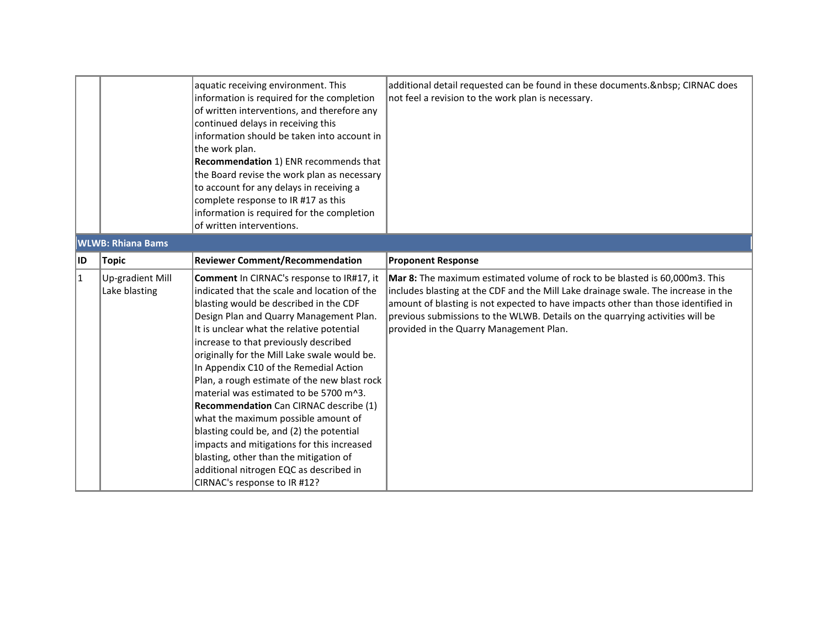|                         |                                   | aquatic receiving environment. This<br>information is required for the completion<br>of written interventions, and therefore any<br>continued delays in receiving this<br>information should be taken into account in<br>the work plan.<br><b>Recommendation 1) ENR recommends that</b><br>the Board revise the work plan as necessary<br>to account for any delays in receiving a<br>complete response to IR #17 as this<br>information is required for the completion<br>of written interventions.                                                                                                                                                                                                                                                     | additional detail requested can be found in these documents.   CIRNAC does<br>not feel a revision to the work plan is necessary.                                                                                                                                                                                                                                                   |
|-------------------------|-----------------------------------|----------------------------------------------------------------------------------------------------------------------------------------------------------------------------------------------------------------------------------------------------------------------------------------------------------------------------------------------------------------------------------------------------------------------------------------------------------------------------------------------------------------------------------------------------------------------------------------------------------------------------------------------------------------------------------------------------------------------------------------------------------|------------------------------------------------------------------------------------------------------------------------------------------------------------------------------------------------------------------------------------------------------------------------------------------------------------------------------------------------------------------------------------|
|                         | <b>WLWB: Rhiana Bams</b>          |                                                                                                                                                                                                                                                                                                                                                                                                                                                                                                                                                                                                                                                                                                                                                          |                                                                                                                                                                                                                                                                                                                                                                                    |
| ID                      | <b>Topic</b>                      | <b>Reviewer Comment/Recommendation</b>                                                                                                                                                                                                                                                                                                                                                                                                                                                                                                                                                                                                                                                                                                                   | <b>Proponent Response</b>                                                                                                                                                                                                                                                                                                                                                          |
| $\overline{\mathbf{1}}$ | Up-gradient Mill<br>Lake blasting | Comment In CIRNAC's response to IR#17, it<br>indicated that the scale and location of the<br>blasting would be described in the CDF<br>Design Plan and Quarry Management Plan.<br>It is unclear what the relative potential<br>increase to that previously described<br>originally for the Mill Lake swale would be.<br>In Appendix C10 of the Remedial Action<br>Plan, a rough estimate of the new blast rock<br>material was estimated to be 5700 m^3.<br>Recommendation Can CIRNAC describe (1)<br>what the maximum possible amount of<br>blasting could be, and (2) the potential<br>impacts and mitigations for this increased<br>blasting, other than the mitigation of<br>additional nitrogen EQC as described in<br>CIRNAC's response to IR #12? | Mar 8: The maximum estimated volume of rock to be blasted is 60,000m3. This<br>includes blasting at the CDF and the Mill Lake drainage swale. The increase in the<br>amount of blasting is not expected to have impacts other than those identified in<br>previous submissions to the WLWB. Details on the quarrying activities will be<br>provided in the Quarry Management Plan. |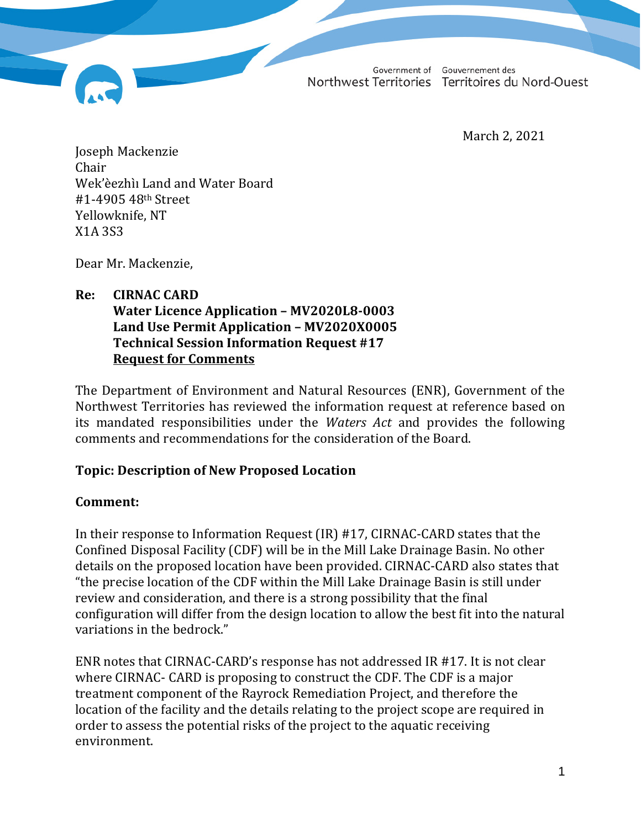Government of Gouvernement des Northwest Territories Territoires du Nord-Ouest

March 2, 2021

Joseph Mackenzie Chair Wek'èezhìı Land and Water Board #1-4905 48th Street Yellowknife, NT X1A 3S3

Dear Mr. Mackenzie,

## **Re: CIRNAC CARD Water Licence Application – MV2020L8-0003 Land Use Permit Application – MV2020X0005 Technical Session Information Request #17 Request for Comments**

The Department of Environment and Natural Resources (ENR), Government of the Northwest Territories has reviewed the information request at reference based on its mandated responsibilities under the *Waters Act* and provides the following comments and recommendations for the consideration of the Board.

## **Topic: Description of New Proposed Location**

## **Comment:**

In their response to Information Request (IR) #17, CIRNAC-CARD states that the Confined Disposal Facility (CDF) will be in the Mill Lake Drainage Basin. No other details on the proposed location have been provided. CIRNAC-CARD also states that "the precise location of the CDF within the Mill Lake Drainage Basin is still under review and consideration, and there is a strong possibility that the final configuration will differ from the design location to allow the best fit into the natural variations in the bedrock."

ENR notes that CIRNAC-CARD's response has not addressed IR #17. It is not clear where CIRNAC- CARD is proposing to construct the CDF. The CDF is a major treatment component of the Rayrock Remediation Project, and therefore the location of the facility and the details relating to the project scope are required in order to assess the potential risks of the project to the aquatic receiving environment.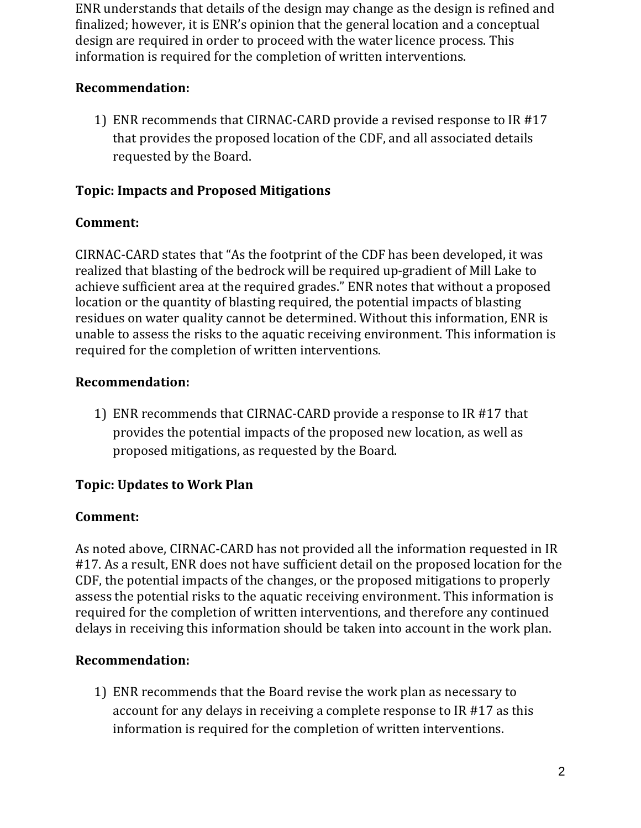ENR understands that details of the design may change as the design is refined and finalized; however, it is ENR's opinion that the general location and a conceptual design are required in order to proceed with the water licence process. This information is required for the completion of written interventions.

## **Recommendation:**

1) ENR recommends that CIRNAC-CARD provide a revised response to IR #17 that provides the proposed location of the CDF, and all associated details requested by the Board.

# **Topic: Impacts and Proposed Mitigations**

# **Comment:**

CIRNAC-CARD states that "As the footprint of the CDF has been developed, it was realized that blasting of the bedrock will be required up-gradient of Mill Lake to achieve sufficient area at the required grades." ENR notes that without a proposed location or the quantity of blasting required, the potential impacts of blasting residues on water quality cannot be determined. Without this information, ENR is unable to assess the risks to the aquatic receiving environment. This information is required for the completion of written interventions.

## **Recommendation:**

1) ENR recommends that CIRNAC-CARD provide a response to IR #17 that provides the potential impacts of the proposed new location, as well as proposed mitigations, as requested by the Board.

# **Topic: Updates to Work Plan**

# **Comment:**

As noted above, CIRNAC-CARD has not provided all the information requested in IR #17. As a result, ENR does not have sufficient detail on the proposed location for the CDF, the potential impacts of the changes, or the proposed mitigations to properly assess the potential risks to the aquatic receiving environment. This information is required for the completion of written interventions, and therefore any continued delays in receiving this information should be taken into account in the work plan.

# **Recommendation:**

1) ENR recommends that the Board revise the work plan as necessary to account for any delays in receiving a complete response to IR #17 as this information is required for the completion of written interventions.